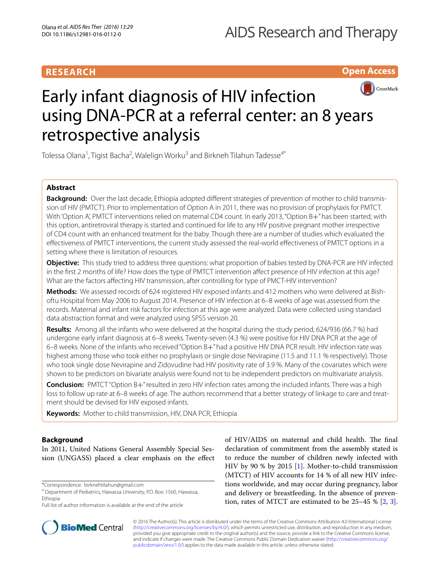# **RESEARCH**

**Open Access**



# Early infant diagnosis of HIV infection using DNA-PCR at a referral center: an 8 years retrospective analysis

Tolessa Olana<sup>1</sup>, Tigist Bacha<sup>2</sup>, Walelign Worku<sup>3</sup> and Birkneh Tilahun Tadesse<sup>4\*</sup>

# **Abstract**

**Background:** Over the last decade, Ethiopia adopted different strategies of prevention of mother to child transmission of HIV (PMTCT). Prior to implementation of Option A in 2011, there was no provision of prophylaxis for PMTCT. With 'Option A', PMTCT interventions relied on maternal CD4 count. In early 2013, "Option B+" has been started; with this option, antiretroviral therapy is started and continued for life to any HIV positive pregnant mother irrespective of CD4 count with an enhanced treatment for the baby. Though there are a number of studies which evaluated the effectiveness of PMTCT interventions, the current study assessed the real-world effectiveness of PMTCT options in a setting where there is limitation of resources.

**Objective:** This study tried to address three questions: what proportion of babies tested by DNA-PCR are HIV infected in the first 2 months of life? How does the type of PMTCT intervention affect presence of HIV infection at this age? What are the factors affecting HIV transmission, after controlling for type of PMCT-HIV intervention?

**Methods:** We assessed records of 624 registered HIV exposed infants and 412 mothers who were delivered at Bishoftu Hospital from May 2006 to August 2014. Presence of HIV infection at 6–8 weeks of age was assessed from the records. Maternal and infant risk factors for infection at this age were analyzed. Data were collected using standard data abstraction format and were analyzed using SPSS version 20.

**Results:** Among all the infants who were delivered at the hospital during the study period, 624/936 (66.7 %) had undergone early infant diagnosis at 6–8 weeks. Twenty-seven (4.3 %) were positive for HIV DNA PCR at the age of 6-8 weeks. None of the infants who received "Option B+" had a positive HIV DNA PCR result. HIV infection rate was highest among those who took either no prophylaxis or single dose Nevirapine (11.5 and 11.1 % respectively). Those who took single dose Nevirapine and Zidovudine had HIV positivity rate of 3.9 %. Many of the covariates which were shown to be predictors on bivariate analysis were found not to be independent predictors on multivariate analysis.

**Conclusion:** PMTCT "Option B+" resulted in zero HIV infection rates among the included infants. There was a high loss to follow up rate at 6–8 weeks of age. The authors recommend that a better strategy of linkage to care and treatment should be devised for HIV exposed infants.

**Keywords:** Mother to child transmission, HIV, DNA PCR, Ethiopia

# **Background**

In 2011, United Nations General Assembly Special Session (UNGASS) placed a clear emphasis on the effect

\*Correspondence: birknehtilahun@gmail.com

Full list of author information is available at the end of the article





© 2016 The Author(s). This article is distributed under the terms of the Creative Commons Attribution 4.0 International License [\(http://creativecommons.org/licenses/by/4.0/\)](http://creativecommons.org/licenses/by/4.0/), which permits unrestricted use, distribution, and reproduction in any medium, provided you give appropriate credit to the original author(s) and the source, provide a link to the Creative Commons license, and indicate if changes were made. The Creative Commons Public Domain Dedication waiver ([http://creativecommons.org/](http://creativecommons.org/publicdomain/zero/1.0/) [publicdomain/zero/1.0/](http://creativecommons.org/publicdomain/zero/1.0/)) applies to the data made available in this article, unless otherwise stated.

<sup>4</sup> Department of Pediatrics, Hawassa University, P.O. Box: 1560, Hawassa, Ethiopia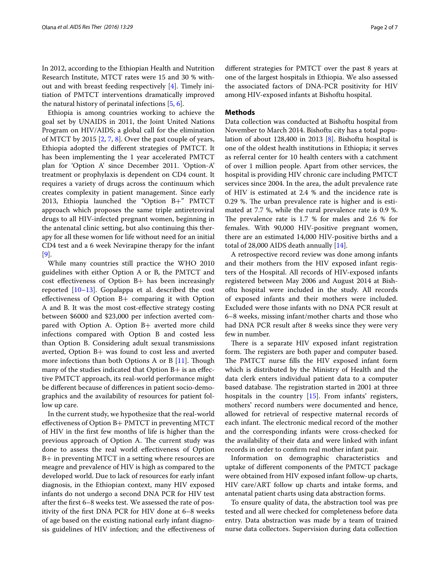In 2012, according to the Ethiopian Health and Nutrition Research Institute, MTCT rates were 15 and 30 % without and with breast feeding respectively [[4\]](#page-5-3). Timely initiation of PMTCT interventions dramatically improved the natural history of perinatal infections [[5](#page-5-4), [6\]](#page-5-5).

Ethiopia is among countries working to achieve the goal set by UNAIDS in 2011, the Joint United Nations Program on HIV/AIDS; a global call for the elimination of MTCT by 2015 [\[2](#page-5-1), [7,](#page-5-6) [8\]](#page-5-7). Over the past couple of years, Ethiopia adopted the different strategies of PMTCT. It has been implementing the 1 year accelerated PMTCT plan for 'Option A' since December 2011. 'Option-A' treatment or prophylaxis is dependent on CD4 count. It requires a variety of drugs across the continuum which creates complexity in patient management. Since early 2013, Ethiopia launched the "Option  $B+$ " PMTCT approach which proposes the same triple antiretroviral drugs to all HIV-infected pregnant women, beginning in the antenatal clinic setting, but also continuing this therapy for all these women for life without need for an initial CD4 test and a 6 week Nevirapine therapy for the infant [[9\]](#page-5-8).

While many countries still practice the WHO 2010 guidelines with either Option A or B, the PMTCT and cost effectiveness of Option B+ has been increasingly reported [\[10](#page-5-9)[–13\]](#page-6-0). Gopalappa et al. described the cost effectiveness of Option  $B+$  comparing it with Option A and B. It was the most cost-effective strategy costing between \$6000 and \$23,000 per infection averted compared with Option A. Option B+ averted more child infections compared with Option B and costed less than Option B. Considering adult sexual transmissions averted, Option B+ was found to cost less and averted more infections than both Options A or B [\[11](#page-5-10)]. Though many of the studies indicated that Option B+ is an effective PMTCT approach, its real-world performance might be different because of differences in patient socio-demographics and the availability of resources for patient follow up care.

In the current study, we hypothesize that the real-world effectiveness of Option B+ PMTCT in preventing MTCT of HIV in the first few months of life is higher than the previous approach of Option A. The current study was done to assess the real world effectiveness of Option B+ in preventing MTCT in a setting where resources are meagre and prevalence of HIV is high as compared to the developed world. Due to lack of resources for early infant diagnosis, in the Ethiopian context, many HIV exposed infants do not undergo a second DNA PCR for HIV test after the first 6–8 weeks test. We assessed the rate of positivity of the first DNA PCR for HIV done at 6–8 weeks of age based on the existing national early infant diagnosis guidelines of HIV infection; and the effectiveness of different strategies for PMTCT over the past 8 years at one of the largest hospitals in Ethiopia. We also assessed the associated factors of DNA-PCR positivity for HIV among HIV-exposed infants at Bishoftu hospital.

## **Methods**

Data collection was conducted at Bishoftu hospital from November to March 2014. Bishoftu city has a total population of about 128,400 in 2013 [[8\]](#page-5-7). Bishoftu hospital is one of the oldest health institutions in Ethiopia; it serves as referral center for 10 health centers with a catchment of over 1 million people. Apart from other services, the hospital is providing HIV chronic care including PMTCT services since 2004. In the area, the adult prevalence rate of HIV is estimated at 2.4 % and the incidence rate is 0.29 %. The urban prevalence rate is higher and is estimated at 7.7 %, while the rural prevalence rate is 0.9 %. The prevalence rate is 1.7 % for males and 2.6 % for females. With 90,000 HIV-positive pregnant women, there are an estimated 14,000 HIV-positive births and a total of 28,000 AIDS death annually [\[14](#page-6-1)].

A retrospective record review was done among infants and their mothers from the HIV exposed infant registers of the Hospital. All records of HIV-exposed infants registered between May 2006 and August 2014 at Bishoftu hospital were included in the study. All records of exposed infants and their mothers were included. Excluded were those infants with no DNA PCR result at 6–8 weeks, missing infant/mother charts and those who had DNA PCR result after 8 weeks since they were very few in number.

There is a separate HIV exposed infant registration form. The registers are both paper and computer based. The PMTCT nurse fills the HIV exposed infant form which is distributed by the Ministry of Health and the data clerk enters individual patient data to a computer based database. The registration started in 2001 at three hospitals in the country [\[15](#page-6-2)]. From infants' registers, mothers' record numbers were documented and hence, allowed for retrieval of respective maternal records of each infant. The electronic medical record of the mother and the corresponding infants were cross-checked for the availability of their data and were linked with infant records in order to confirm real mother infant pair.

Information on demographic characteristics and uptake of different components of the PMTCT package were obtained from HIV exposed infant follow-up charts, HIV care/ART follow up charts and intake forms, and antenatal patient charts using data abstraction forms.

To ensure quality of data, the abstraction tool was pre tested and all were checked for completeness before data entry. Data abstraction was made by a team of trained nurse data collectors. Supervision during data collection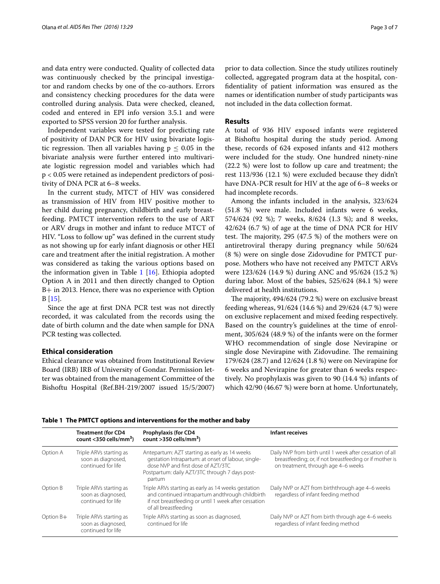and data entry were conducted. Quality of collected data was continuously checked by the principal investigator and random checks by one of the co-authors. Errors and consistency checking procedures for the data were controlled during analysis. Data were checked, cleaned, coded and entered in EPI info version 3.5.1 and were exported to SPSS version 20 for further analysis.

Independent variables were tested for predicting rate of positivity of DAN PCR for HIV using bivariate logistic regression. Then all variables having  $p \leq 0.05$  in the bivariate analysis were further entered into multivariate logistic regression model and variables which had p < 0.05 were retained as independent predictors of positivity of DNA PCR at 6–8 weeks.

In the current study, MTCT of HIV was considered as transmission of HIV from HIV positive mother to her child during pregnancy, childbirth and early breastfeeding. PMTCT intervention refers to the use of ART or ARV drugs in mother and infant to reduce MTCT of HIV. "Loss to follow up" was defined in the current study as not showing up for early infant diagnosis or other HEI care and treatment after the initial registration. A mother was considered as taking the various options based on the information given in Table  $1$  [[16\]](#page-6-3). Ethiopia adopted Option A in 2011 and then directly changed to Option B+ in 2013. Hence, there was no experience with Option B [\[15\]](#page-6-2).

Since the age at first DNA PCR test was not directly recorded, it was calculated from the records using the date of birth column and the date when sample for DNA PCR testing was collected.

## **Ethical consideration**

Ethical clearance was obtained from Institutional Review Board (IRB) IRB of University of Gondar. Permission letter was obtained from the management Committee of the Bishoftu Hospital (Ref.BH-219/2007 issued 15/5/2007) prior to data collection. Since the study utilizes routinely collected, aggregated program data at the hospital, confidentiality of patient information was ensured as the names or identification number of study participants was not included in the data collection format.

# **Results**

A total of 936 HIV exposed infants were registered at Bishoftu hospital during the study period. Among these, records of 624 exposed infants and 412 mothers were included for the study. One hundred ninety-nine (22.2 %) were lost to follow up care and treatment; the rest 113/936 (12.1 %) were excluded because they didn't have DNA-PCR result for HIV at the age of 6–8 weeks or had incomplete records.

Among the infants included in the analysis, 323/624 (51.8 %) were male. Included infants were 6 weeks, 574/624 (92 %); 7 weeks, 8/624 (1.3 %); and 8 weeks, 42/624 (6.7 %) of age at the time of DNA PCR for HIV test. The majority, 295 (47.5 %) of the mothers were on antiretroviral therapy during pregnancy while 50/624 (8 %) were on single dose Zidovudine for PMTCT purpose. Mothers who have not received any PMTCT ARVs were 123/624 (14.9 %) during ANC and 95/624 (15.2 %) during labor. Most of the babies, 525/624 (84.1 %) were delivered at health institutions.

The majority, 494/624 (79.2 %) were on exclusive breast feeding whereas, 91/624 (14.6 %) and 29/624 (4.7 %) were on exclusive replacement and mixed feeding respectively. Based on the country's guidelines at the time of enrolment, 305/624 (48.9 %) of the infants were on the former WHO recommendation of single dose Nevirapine or single dose Nevirapine with Zidovudine. The remaining 179/624 (28.7) and 12/624 (1.8 %) were on Nevirapine for 6 weeks and Nevirapine for greater than 6 weeks respectively. No prophylaxis was given to 90 (14.4 %) infants of which 42/90 (46.67 %) were born at home. Unfortunately,

<span id="page-2-0"></span>

|  |  | Table 1 The PMTCT options and interventions for the mother and baby |
|--|--|---------------------------------------------------------------------|
|--|--|---------------------------------------------------------------------|

|           | <b>Treatment (for CD4</b><br>count <350 cells/mm <sup>3</sup> )     | Prophylaxis (for CD4<br>count > 350 cells/mm <sup>3</sup> )                                                                                                                                            | Infant receives                                                                                                                                            |
|-----------|---------------------------------------------------------------------|--------------------------------------------------------------------------------------------------------------------------------------------------------------------------------------------------------|------------------------------------------------------------------------------------------------------------------------------------------------------------|
| Option A  | Triple ARVs starting as<br>soon as diagnosed,<br>continued for life | Antepartum: AZT starting as early as 14 weeks<br>gestation Intrapartum: at onset of labour, single-<br>dose NVP and first dose of AZT/3TC.<br>Postpartum: daily AZT/3TC through 7 days post-<br>partum | Daily NVP from birth until 1 week after cessation of all<br>breastfeeding; or, if not breastfeeding or if mother is<br>on treatment, through age 4-6 weeks |
| Option B  | Triple ARVs starting as<br>soon as diagnosed,<br>continued for life | Triple ARVs starting as early as 14 weeks gestation<br>and continued intrapartum andthrough childbirth<br>if not breastfeeding or until 1 week after cessation<br>of all breastfeeding                 | Daily NVP or AZT from birththrough age 4-6 weeks<br>regardless of infant feeding method                                                                    |
| Option B+ | Triple ARVs starting as<br>soon as diagnosed,<br>continued for life | Triple ARVs starting as soon as diagnosed,<br>continued for life                                                                                                                                       | Daily NVP or AZT from birth through age 4-6 weeks<br>regardless of infant feeding method                                                                   |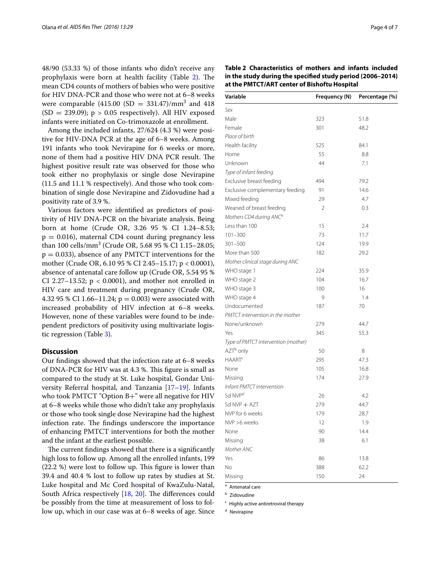48/90 (53.33 %) of those infants who didn't receive any prophylaxis were born at health facility (Table [2](#page-3-0)). The mean CD4 counts of mothers of babies who were positive for HIV DNA-PCR and those who were not at 6–8 weeks were comparable  $(415.00 \text{ (SD} = 331.47)/\text{mm}^3$  and  $418$  $(SD = 239.09)$ ;  $p > 0.05$  respectively). All HIV exposed infants were initiated on Co-trimoxazole at enrollment.

Among the included infants, 27/624 (4.3 %) were positive for HIV-DNA PCR at the age of 6–8 weeks. Among 191 infants who took Nevirapine for 6 weeks or more, none of them had a positive HIV DNA PCR result. The highest positive result rate was observed for those who took either no prophylaxis or single dose Nevirapine (11.5 and 11.1 % respectively). And those who took combination of single dose Nevirapine and Zidovudine had a positivity rate of 3.9 %.

Various factors were identified as predictors of positivity of HIV DNA-PCR on the bivariate analysis. Being born at home (Crude OR, 3.26 95 % CI 1.24–8.53;  $p = 0.016$ ), maternal CD4 count during pregnancy less than 100 cells/mm3 (Crude OR, 5.68 95 % CI 1.15–28.05;  $p = 0.033$ ), absence of any PMTCT interventions for the mother (Crude OR, 6.10 95 % CI 2.45–15.17; p < 0.0001), absence of antenatal care follow up (Crude OR, 5.54 95 % CI 2.27-13.52;  $p < 0.0001$ ), and mother not enrolled in HIV care and treatment during pregnancy (Crude OR, 4.32 95 % CI 1.66–11.24;  $p = 0.003$ ) were associated with increased probability of HIV infection at 6–8 weeks. However, none of these variables were found to be independent predictors of positivity using multivariate logistic regression (Table [3](#page-4-0)).

### **Discussion**

Our findings showed that the infection rate at 6–8 weeks of DNA-PCR for HIV was at 4.3 %. This figure is small as compared to the study at St. Luke hospital, Gondar University Referral hospital, and Tanzania [[17](#page-6-4)[–19](#page-6-5)]. Infants who took PMTCT "Option B+" were all negative for HIV at 6–8 weeks while those who didn't take any prophylaxis or those who took single dose Nevirapine had the highest infection rate. The findings underscore the importance of enhancing PMTCT interventions for both the mother and the infant at the earliest possible.

The current findings showed that there is a significantly high loss to follow up. Among all the enrolled infants, 199 (22.2 %) were lost to follow up. This figure is lower than 39.4 and 40.4 % lost to follow up rates by studies at St. Luke hospital and Mc Cord hospital of KwaZulu-Natal, South Africa respectively [[18,](#page-6-6) [20\]](#page-6-7). The differences could be possibly from the time at measurement of loss to follow up, which in our case was at 6–8 weeks of age. Since

<span id="page-3-0"></span>**Table 2 Characteristics of mothers and infants included in the study during the specified study period (2006–2014) at the PMTCT/ART center of Bishoftu Hospital**

| Variable                            | Frequency (N)  | Percentage (%) |
|-------------------------------------|----------------|----------------|
| Sex                                 |                |                |
| Male                                | 323            | 51.8           |
| Female                              | 301            | 48.2           |
| Place of birth                      |                |                |
| Health facility                     | 525            | 84.1           |
| Home                                | 55             | 8.8            |
| Unknown                             | 44             | 7.1            |
| Type of infant feeding              |                |                |
| Exclusive breast feeding            | 494            | 79.2           |
| Exclusive complementary feeding     | 91             | 14.6           |
| Mixed feeding                       | 29             | 4.7            |
| Weaned of breast feeding            | $\overline{2}$ | 0.3            |
| Mothers CD4 during ANC <sup>a</sup> |                |                |
| Less than 100                       | 15             | 2.4            |
| $101 - 300$                         | 73             | 11.7           |
| $301 - 500$                         | 124            | 19.9           |
| More than 500                       | 182            | 29.2           |
| Mother clinical stage during ANC    |                |                |
| WHO stage 1                         | 224            | 35.9           |
| WHO stage 2                         | 104            | 16.7           |
| WHO stage 3                         | 100            | 16             |
| WHO stage 4                         | 9              | 1.4            |
| Undocumented                        | 187            | 70             |
| PMTCT intervention in the mother    |                |                |
| None/unknown                        | 279            | 44.7           |
| Yes                                 | 345            | 55.3           |
| Type of PMTCT intervention (mother) |                |                |
| AZT <sup>b</sup> only               | 50             | 8              |
| <b>HAART<sup>c</sup></b>            | 295            | 47.3           |
| None                                | 105            | 16.8           |
| Missing                             | 174            | 27.9           |
| Infant PMTCT intervention           |                |                |
| Sd NVP <sup>d</sup>                 | 26             | 4.2            |
| $Sd$ NVP $+$ AZT                    | 279            | 44.7           |
| NVP for 6 weeks                     | 179            | 28.7           |
| NVP >6 weeks                        | 12             | 1.9            |
| None                                | 90             | 14.4           |
| Missing                             | 38             | 6.1            |
| Mother ANC                          |                |                |
| Yes                                 | 86             | 13.8           |
| <b>No</b>                           | 388            | 62.2           |
| Missing                             | 150            | 24             |

a Antenatal care

**b** Zidovudine

<sup>c</sup> Highly active antiretroviral therapy

<sup>d</sup> Nevirapine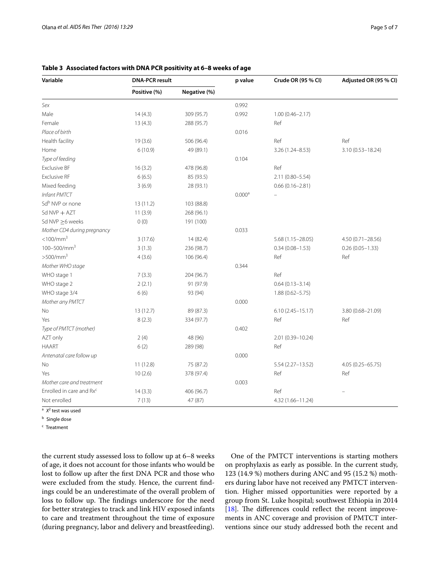| Variable                             | <b>DNA-PCR result</b> |              | p value            | Crude OR (95 % CI)   | Adjusted OR (95 % CI) |
|--------------------------------------|-----------------------|--------------|--------------------|----------------------|-----------------------|
|                                      | Positive (%)          | Negative (%) |                    |                      |                       |
| Sex                                  |                       |              | 0.992              |                      |                       |
| Male                                 | 14(4.3)               | 309 (95.7)   | 0.992              | $1.00(0.46 - 2.17)$  |                       |
| Female                               | 13(4.3)               | 288 (95.7)   |                    | Ref                  |                       |
| Place of birth                       |                       |              | 0.016              |                      |                       |
| Health facility                      | 19(3.6)               | 506 (96.4)   |                    | Ref                  | Ref                   |
| Home                                 | 6(10.9)               | 49 (89.1)    |                    | 3.26 (1.24-8.53)     | 3.10 (0.53-18.24)     |
| Type of feeding                      |                       |              | 0.104              |                      |                       |
| Exclusive BF                         | 16(3.2)               | 478 (96.8)   |                    | Ref                  |                       |
| <b>Exclusive RF</b>                  | 6(6.5)                | 85 (93.5)    |                    | 2.11 (0.80-5.54)     |                       |
| Mixed feeding                        | 3(6.9)                | 28 (93.1)    |                    | $0.66(0.16 - 2.81)$  |                       |
| <b>Infant PMTCT</b>                  |                       |              | 0.000 <sup>a</sup> |                      |                       |
| Sd <sup>b</sup> NVP or none          | 13(11.2)              | 103 (88.8)   |                    |                      |                       |
| $Sd$ NVP $+$ AZT                     | 11(3.9)               | 268 (96.1)   |                    |                      |                       |
| Sd NVP $\geq$ 6 weeks                | 0(0)                  | 191 (100)    |                    |                      |                       |
| Mother CD4 during pregnancy          |                       |              | 0.033              |                      |                       |
| $<$ 100/mm <sup>3</sup>              | 3(17.6)               | 14 (82.4)    |                    | $5.68(1.15 - 28.05)$ | $4.50(0.71 - 28.56)$  |
| $100 - 500/mm3$                      | 3(1.3)                | 236 (98.7)   |                    | $0.34(0.08 - 1.53)$  | $0.26(0.05 - 1.33)$   |
| $>500/mm^3$                          | 4(3.6)                | 106 (96.4)   |                    | Ref                  | Ref                   |
| Mother WHO stage                     |                       |              | 0.344              |                      |                       |
| WHO stage 1                          | 7(3.3)                | 204 (96.7)   |                    | Ref                  |                       |
| WHO stage 2                          | 2(2.1)                | 91 (97.9)    |                    | $0.64(0.13 - 3.14)$  |                       |
| WHO stage 3/4                        | 6(6)                  | 93 (94)      |                    | $1.88(0.62 - 5.75)$  |                       |
| Mother any PMTCT                     |                       |              | 0.000              |                      |                       |
| No                                   | 13(12.7)              | 89 (87.3)    |                    | $6.10(2.45 - 15.17)$ | 3.80 (0.68-21.09)     |
| Yes                                  | 8(2.3)                | 334 (97.7)   |                    | Ref                  | Ref                   |
| Type of PMTCT (mother)               |                       |              | 0.402              |                      |                       |
| AZT only                             | 2(4)                  | 48 (96)      |                    | 2.01 (0.39-10.24)    |                       |
| <b>HAART</b>                         | 6(2)                  | 289 (98)     |                    | Ref                  |                       |
| Antenatal care follow up             |                       | 0.000        |                    |                      |                       |
| No                                   | 11(12.8)              | 75 (87.2)    |                    | $5.54(2.27 - 13.52)$ | $4.05(0.25 - 65.75)$  |
| Yes                                  | 10(2.6)               | 378 (97.4)   |                    | Ref                  | Ref                   |
| Mother care and treatment            |                       | 0.003        |                    |                      |                       |
| Enrolled in care and Rx <sup>c</sup> | 14(3.3)               | 406 (96.7)   |                    | Ref                  |                       |
| Not enrolled                         | 7(13)                 | 47 (87)      |                    | 4.32 (1.66-11.24)    |                       |

## <span id="page-4-0"></span>**Table 3 Associated factors with DNA PCR positivity at 6–8 weeks of age**

<sup>a</sup> *X*<sup>2</sup> test was used

**b** Single dose

<sup>c</sup> Treatment

the current study assessed loss to follow up at 6–8 weeks of age, it does not account for those infants who would be lost to follow up after the first DNA PCR and those who were excluded from the study. Hence, the current findings could be an underestimate of the overall problem of loss to follow up. The findings underscore for the need for better strategies to track and link HIV exposed infants to care and treatment throughout the time of exposure (during pregnancy, labor and delivery and breastfeeding).

One of the PMTCT interventions is starting mothers on prophylaxis as early as possible. In the current study, 123 (14.9 %) mothers during ANC and 95 (15.2 %) mothers during labor have not received any PMTCT intervention. Higher missed opportunities were reported by a group from St. Luke hospital; southwest Ethiopia in 2014 [[18\]](#page-6-6). The differences could reflect the recent improvements in ANC coverage and provision of PMTCT interventions since our study addressed both the recent and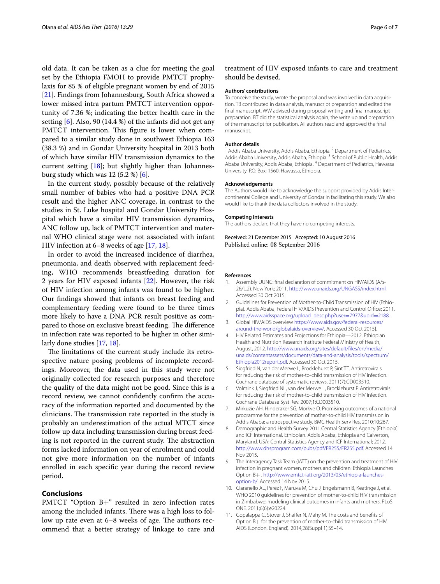old data. It can be taken as a clue for meeting the goal set by the Ethiopia FMOH to provide PMTCT prophylaxis for 85 % of eligible pregnant women by end of 2015 [[21\]](#page-6-8). Findings from Johannesburg, South Africa showed a lower missed intra partum PMTCT intervention opportunity of 7.36 %; indicating the better health care in the setting [[6\]](#page-5-5). Also, 90 (14.4 %) of the infants did not get any PMTCT intervention. This figure is lower when compared to a similar study done in southwest Ethiopia 163 (38.3 %) and in Gondar University hospital in 2013 both of which have similar HIV transmission dynamics to the current setting [\[18\]](#page-6-6); but slightly higher than Johannesburg study which was  $12$  (5.2 %) [\[6](#page-5-5)].

In the current study, possibly because of the relatively small number of babies who had a positive DNA PCR result and the higher ANC coverage, in contrast to the studies in St. Luke hospital and Gondar University Hospital which have a similar HIV transmission dynamics, ANC follow up, lack of PMTCT intervention and maternal WHO clinical stage were not associated with infant HIV infection at 6–8 weeks of age [\[17](#page-6-4), [18](#page-6-6)].

In order to avoid the increased incidence of diarrhea, pneumonia, and death observed with replacement feeding, WHO recommends breastfeeding duration for 2 years for HIV exposed infants  $[22]$ . However, the risk of HIV infection among infants was found to be higher. Our findings showed that infants on breast feeding and complementary feeding were found to be three times more likely to have a DNA PCR result positive as compared to those on exclusive breast feeding. The difference in infection rate was reported to be higher in other similarly done studies [\[17](#page-6-4), [18\]](#page-6-6).

The limitations of the current study include its retrospective nature posing problems of incomplete recordings. Moreover, the data used in this study were not originally collected for research purposes and therefore the quality of the data might not be good. Since this is a record review, we cannot confidently confirm the accuracy of the information reported and documented by the clinicians. The transmission rate reported in the study is probably an underestimation of the actual MTCT since follow up data including transmission during breast feeding is not reported in the current study. The abstraction forms lacked information on year of enrolment and could not give more information on the number of infants enrolled in each specific year during the record review period.

#### **Conclusions**

PMTCT "Option B+" resulted in zero infection rates among the included infants. There was a high loss to follow up rate even at 6–8 weeks of age. The authors recommend that a better strategy of linkage to care and

## treatment of HIV exposed infants to care and treatment should be devised.

#### **Authors' contributions**

To conceive the study, wrote the proposal and was involved in data acquisition. TB contributed in data analysis, manuscript preparation and edited the final manuscript. WW advised during proposal writing and final manuscript preparation. BT did the statistical analysis again, the write up and preparation of the manuscript for publication. All authors read and approved the final manuscript.

#### **Author details**

<sup>1</sup> Addis Ababa University, Addis Ababa, Ethiopia.<sup>2</sup> Department of Pediatrics, Addis Ababa University, Addis Ababa, Ethiopia.<sup>3</sup> School of Public Health, Addis Ababa University, Addis Ababa, Ethiopia. <sup>4</sup> Department of Pediatrics, Hawassa University, P.O. Box: 1560, Hawassa, Ethiopia.

#### **Acknowledgements**

The Authors would like to acknowledge the support provided by Addis Intercontinental College and University of Gondar in facilitating this study. We also would like to thank the data collectors involved in the study.

#### **Competing interests**

The authors declare that they have no competing interests.

Received: 21 December 2015 Accepted: 10 August 2016 Published online: 08 September 2016

#### **References**

- <span id="page-5-0"></span>1. Assembly UUNG: final declaration of commitment on HIV/AIDS (A/s-26/L.2). New York; 2011. <http://www.unaids.org/UNGASS/index.html>. Accessed 30 Oct 2015.
- <span id="page-5-1"></span>2. Guidelines for Prevention of Mother-to-Child Transmission of HIV (Ethiopia). Addis Ababa, Federal HIV/AIDS Prevention and Control Office; 2011. [http://www.aidsspace.org/upload\\_desc.php?user](http://www.aidsspace.org/upload_desc.php%3fuser%3d7977%26upid%3d2188)=7977&upid=2188.
- <span id="page-5-2"></span>3. Global HIV/AIDS overview [https://www.aids.gov/federal-resources/](https://www.aids.gov/federal-resources/around-the-world/globalaids-overview/) [around-the-world/globalaids-overview/.](https://www.aids.gov/federal-resources/around-the-world/globalaids-overview/) Accessed 30 Oct 2015].
- <span id="page-5-3"></span>4. HIV Related Estimates and Projections for Ethiopia—2012. Ethiopian Health and Nutrition Research Institute Federal Ministry of Health, August, 2012. [http://www.unaids.org/sites/default/files/en/media/](http://www.unaids.org/sites/default/files/en/media/unaids/contentassets/documents/data-and-analysis/tools/spectrum/Ethiopia2012report.pdf) [unaids/contentassets/documents/data-and-analysis/tools/spectrum/](http://www.unaids.org/sites/default/files/en/media/unaids/contentassets/documents/data-and-analysis/tools/spectrum/Ethiopia2012report.pdf) [Ethiopia2012report.pdf.](http://www.unaids.org/sites/default/files/en/media/unaids/contentassets/documents/data-and-analysis/tools/spectrum/Ethiopia2012report.pdf) Accessed 30 Oct 2015.
- <span id="page-5-4"></span>5. Siegfried N, van der Merwe L, Brocklehurst P, Sint TT. Antiretrovirals for reducing the risk of mother-to-child transmission of HIV infection. Cochrane database of systematic reviews. 2011(7):CD003510.
- <span id="page-5-5"></span>6. Volmink J, Siegfried NL, van der Merwe L, Brocklehurst P. Antiretrovirals for reducing the risk of mother-to-child transmission of HIV infection. Cochrane Database Syst Rev. 2007;1:CD003510.
- <span id="page-5-6"></span>7. Mirkuzie AH, Hinderaker SG, Morkve O. Promising outcomes of a national programme for the prevention of mother-to-child HIV transmission in Addis Ababa: a retrospective study. BMC Health Serv Res. 2010;10:267.
- <span id="page-5-7"></span>8. Demographic and Health Survey 2011.Central Statistics Agency [Ethiopia] and ICF International. Ethiopian. Addis Ababa, Ethiopia and Calverton, Maryland, USA: Central Statistics Agency and ICF International; 2012. [http://www.dhsprogram.com/pubs/pdf/FR255/FR255.pdf.](http://www.dhsprogram.com/pubs/pdf/FR255/FR255.pdf) Accessed 14 Nov 2015.
- <span id="page-5-8"></span>The Interagency Task Team (IATT) on the prevention and treatment of HIV infection in pregnant women, mothers and children: Ethiopia Launches Option B+ . [http://www.emtct-iatt.org/2013/03/ethiopia-launches](http://www.emtct-iatt.org/2013/03/ethiopia-launches-option-b/)[option-b/.](http://www.emtct-iatt.org/2013/03/ethiopia-launches-option-b/) Accessed 14 Nov 2015.
- <span id="page-5-9"></span>10. Ciaranello AL, Perez F, Maruva M, Chu J, Engelsmann B, Keatinge J, et al. WHO 2010 guidelines for prevention of mother-to-child HIV transmission in Zimbabwe: modeling clinical outcomes in infants and mothers. PLoS ONE. 2011;6(6):e20224.
- <span id="page-5-10"></span>11. Gopalappa C, Stover J, Shaffer N, Mahy M. The costs and benefits of Option B+ for the prevention of mother-to-child transmission of HIV. AIDS (London, England). 2014;28(Suppl 1):S5–14.